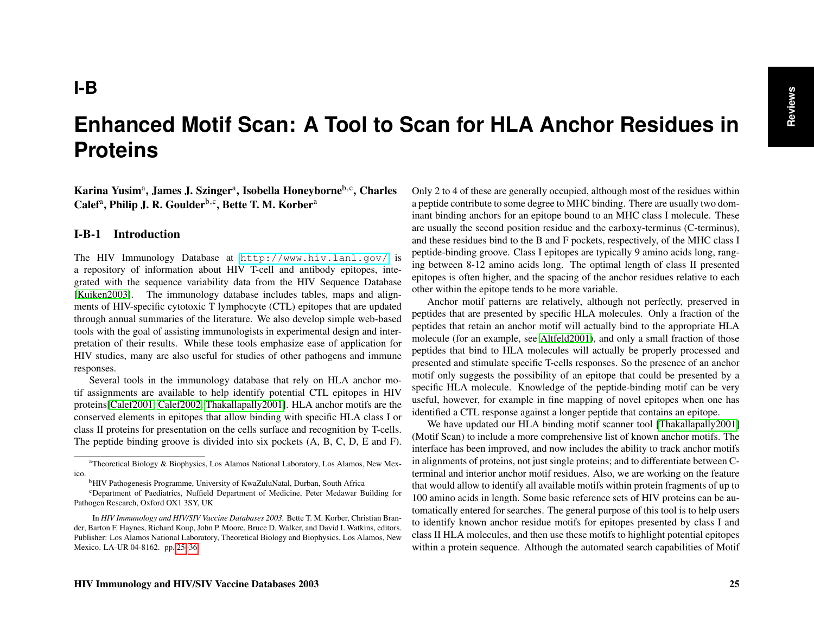# <span id="page-0-1"></span>**Enhanced Motif Scan: A Tool to Scan for HLA Anchor Residues in Proteins**

<span id="page-0-0"></span>Karina Yusim<sup>a</sup>, James J. Szinger<sup>a</sup>, Isobella Honeyborne<sup>b,c</sup>, Charles Calef<sup>a</sup>, Philip J. R. Goulder<sup>b,c</sup>, Bette T. M. Korber<sup>a</sup>

### I-B-1 Introduction

The HIV Immunology Database at <http://www.hiv.lanl.gov/> is a repository of information about HIV T-cell and antibody epitopes, integrated with the sequence variability data from the HIV Sequence Database [\[Kuiken2003\]](#page-11-0). The immunology database includes tables, maps and alignments of HIV-specific cytotoxic T lymphocyte (CTL) epitopes that are updated through annual summaries of the literature. We also develop simple web-based tools with the goal of assisting immunologists in experimental design and interpretation of their results. While these tools emphasize ease of application for HIV studies, many are also useful for studies of other pathogens and immune responses.

Several tools in the immunology database that rely on HLA anchor motif assignments are available to help identify potential CTL epitopes in HIV proteins[\[Calef2001,](#page-10-0) [Calef2002,](#page-10-1) [Thakallapally2001\]](#page-11-1). HLA anchor motifs are the conserved elements in epitopes that allow binding with specific HLA class I or class II proteins for presentation on the cells surface and recognition by T-cells. The peptide binding groove is divided into six pockets (A, B, C, D, E and F).

Only 2 to 4 of these are generally occupied, although most of the residues within a peptide contribute to some degree to MHC binding. There are usually two dominant binding anchors for an epitope bound to an MHC class I molecule. These are usually the second position residue and the carboxy-terminus (C-terminus), and these residues bind to the B and F pockets, respectively, of the MHC class I peptide-binding groove. Class I epitopes are typically 9 amino acids long, ranging between 8-12 amino acids long. The optimal length of class II presented epitopes is often higher, and the spacing of the anchor residues relative to each other within the epitope tends to be more variable.

Anchor motif patterns are relatively, although not perfectly, preserved in peptides that are presented by specific HLA molecules. Only a fraction of the peptides that retain an anchor motif will actually bind to the appropriate HLA molecule (for an example, see [Altfeld2001\)](#page-10-2), and only a small fraction of those peptides that bind to HLA molecules will actually be properly processed and presented and stimulate specific T-cells responses. So the presence of an anchor motif only suggests the possibility of an epitope that could be presented by a specific HLA molecule. Knowledge of the peptide-binding motif can be very useful, however, for example in fine mapping of novel epitopes when one has identified a CTL response against a longer peptide that contains an epitope.

We have updated our HLA binding motif scanner tool [\[Thakallapally2001\]](#page-11-1) (Motif Scan) to include a more comprehensive list of known anchor motifs. The interface has been improved, and now includes the ability to track anchor motifs in alignments of proteins, not just single proteins; and to differentiate between Cterminal and interior anchor motif residues. Also, we are working on the feature that would allow to identify all available motifs within protein fragments of up to 100 amino acids in length. Some basic reference sets of HIV proteins can be automatically entered for searches. The general purpose of this tool is to help users to identify known anchor residue motifs for epitopes presented by class I and class II HLA molecules, and then use these motifs to highlight potential epitopes within a protein sequence. Although the automated search capabilities of Motif

<sup>a</sup>Theoretical Biology & Biophysics, Los Alamos National Laboratory, Los Alamos, New Mexico.

<sup>b</sup>HIV Pathogenesis Programme, University of KwaZuluNatal, Durban, South Africa

<sup>c</sup>Department of Paediatrics, Nuffield Department of Medicine, Peter Medawar Building for Pathogen Research, Oxford OX1 3SY, UK

In *HIV Immunology and HIV/SIV Vaccine Databases 2003.* Bette T. M. Korber, Christian Brander, Barton F. Haynes, Richard Koup, John P. Moore, Bruce D. Walker, and David I. Watkins, editors. Publisher: Los Alamos National Laboratory, Theoretical Biology and Biophysics, Los Alamos, New Mexico. LA-UR 04-8162. pp. [25–](#page-0-0)[36.](#page-11-2)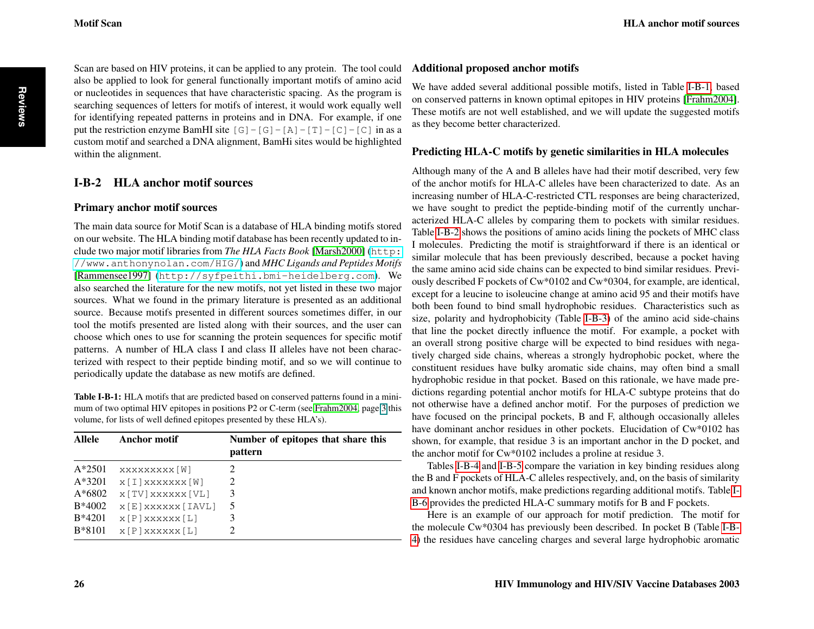<span id="page-1-1"></span>Scan are based on HIV proteins, it can be applied to any protein. The tool could also be applied to look for general functionally important motifs of amino acid or nucleotides in sequences that have characteristic spacing. As the program is searching sequences of letters for motifs of interest, it would work equally well for identifying repeated patterns in proteins and in DNA. For example, if one put the restriction enzyme BamHI site  $[G] - [G] - [A] - [T] - [C]$  in as a custom motif and searched a DNA alignment, BamHi sites would be highlighted within the alignment.

## I-B-2 HLA anchor motif sources

#### Primary anchor motif sources

The main data source for Motif Scan is a database of HLA binding motifs stored on our website. The HLA binding motif database has been recently updated to include two major motif libraries from *The HLA Facts Book* [\[Marsh2000\]](#page-11-3) ([http:](http://www.anthonynolan.com/HIG/) [//www.anthonynolan.com/HIG/](http://www.anthonynolan.com/HIG/)) and *MHC Ligands and Peptides Motifs* [\[Rammensee1997\]](#page-11-4) (<http://syfpeithi.bmi-heidelberg.com>). We also searched the literature for the new motifs, not yet listed in these two major sources. What we found in the primary literature is presented as an additional source. Because motifs presented in different sources sometimes differ, in our tool the motifs presented are listed along with their sources, and the user can choose which ones to use for scanning the protein sequences for specific motif patterns. A number of HLA class I and class II alleles have not been characterized with respect to their peptide binding motif, and so we will continue to periodically update the database as new motifs are defined.

<span id="page-1-0"></span>Table I-B-1: HLA motifs that are predicted based on conserved patterns found in a minimum of two optimal HIV epitopes in positions P2 or C-term (see [Frahm2004,](#page-11-5) page 3 this volume, for lists of well defined epitopes presented by these HLA's).

| Allele   | <b>Anchor motif</b> | Number of epitopes that share this<br>pattern |
|----------|---------------------|-----------------------------------------------|
| $A*2501$ | XXXXXXXXX [W]       | 2                                             |
| $A*3201$ | $x[I]$ xxxxxx $[W]$ | 2                                             |
| $A*6802$ | x [TV] xxxxxx [VL]  | 3                                             |
| $B*4002$ | x [E] xxxxxx [IAVL] | 5                                             |
| $B*4201$ | $x [P]$ x x x x $L$ | 3                                             |
| B*8101   | $x [P]$ x x x x $L$ | 2                                             |

#### Additional proposed anchor motifs

We have added several additional possible motifs, listed in Table [I-B-1,](#page-1-0) based on conserved patterns in known optimal epitopes in HIV proteins [\[Frahm2004\]](#page-11-5). These motifs are not well established, and we will update the suggested motifs as they become better characterized.

#### Predicting HLA-C motifs by genetic similarities in HLA molecules

Although many of the A and B alleles have had their motif described, very few of the anchor motifs for HLA-C alleles have been characterized to date. As an increasing number of HLA-C-restricted CTL responses are being characterized, we have sought to predict the peptide-binding motif of the currently uncharacterized HLA-C alleles by comparing them to pockets with similar residues. Table [I-B-2](#page-2-0) shows the positions of amino acids lining the pockets of MHC class I molecules. Predicting the motif is straightforward if there is an identical or similar molecule that has been previously described, because a pocket having the same amino acid side chains can be expected to bind similar residues. Previously described F pockets of Cw\*0102 and Cw\*0304, for example, are identical, except for a leucine to isoleucine change at amino acid 95 and their motifs have both been found to bind small hydrophobic residues. Characteristics such as size, polarity and hydrophobicity (Table [I-B-3\)](#page-2-1) of the amino acid side-chains that line the pocket directly influence the motif. For example, a pocket with an overall strong positive charge will be expected to bind residues with negatively charged side chains, whereas a strongly hydrophobic pocket, where the constituent residues have bulky aromatic side chains, may often bind a small hydrophobic residue in that pocket. Based on this rationale, we have made predictions regarding potential anchor motifs for HLA-C subtype proteins that do not otherwise have a defined anchor motif. For the purposes of prediction we have focused on the principal pockets, B and F, although occasionally alleles have dominant anchor residues in other pockets. Elucidation of Cw\*0102 has shown, for example, that residue 3 is an important anchor in the D pocket, and the anchor motif for Cw\*0102 includes a proline at residue 3.

Tables [I-B-4](#page-3-0) and [I-B-5](#page-4-0) compare the variation in key binding residues along the B and F pockets of HLA-C alleles respectively, and, on the basis of similarity and known anchor motifs, make predictions regarding additional motifs. Table [I-](#page-7-0)[B-6](#page-7-0) provides the predicted HLA-C summary motifs for B and F pockets.

Here is an example of our approach for motif prediction. The motif for the molecule Cw\*0304 has previously been described. In pocket B (Table [I-B-](#page-3-0)[4\)](#page-3-0) the residues have canceling charges and several large hydrophobic aromatic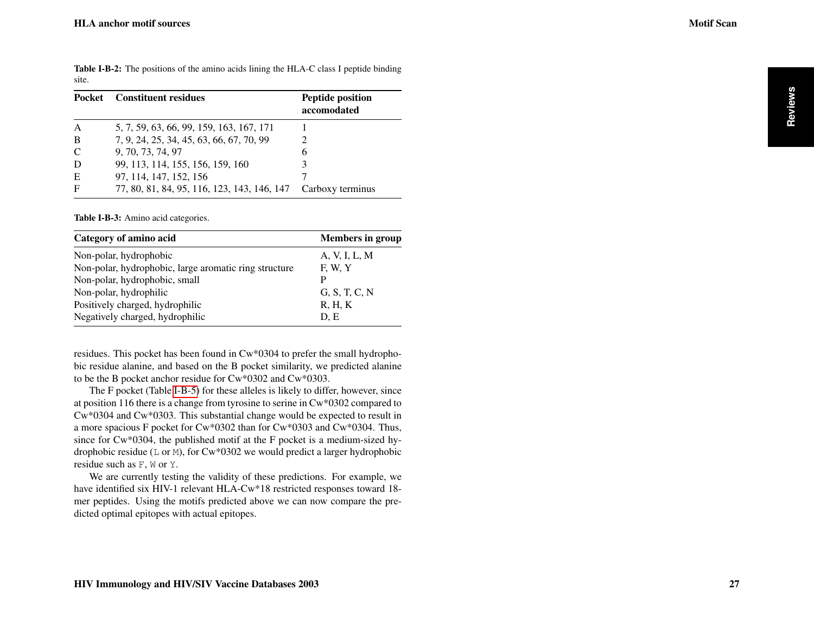site.

<span id="page-2-0"></span>Table I-B-2: The positions of the amino acids lining the HLA-C class I peptide binding

| Pocket        | Constituent residues                        | <b>Peptide position</b><br>accomodated |
|---------------|---------------------------------------------|----------------------------------------|
|               | 5, 7, 59, 63, 66, 99, 159, 163, 167, 171    |                                        |
| B             | 7, 9, 24, 25, 34, 45, 63, 66, 67, 70, 99    |                                        |
| $\mathcal{C}$ | 9, 70, 73, 74, 97                           | 6                                      |
|               | 99, 113, 114, 155, 156, 159, 160            |                                        |
| E             | 97, 114, 147, 152, 156                      |                                        |
| F             | 77, 80, 81, 84, 95, 116, 123, 143, 146, 147 | Carboxy terminus                       |

<span id="page-2-1"></span>Table I-B-3: Amino acid categories.

| Category of amino acid                                | <b>Members in group</b> |
|-------------------------------------------------------|-------------------------|
| Non-polar, hydrophobic                                | A, V, I, L, M           |
| Non-polar, hydrophobic, large aromatic ring structure | F, W, Y                 |
| Non-polar, hydrophobic, small                         | P                       |
| Non-polar, hydrophilic                                | G, S, T, C, N           |
| Positively charged, hydrophilic                       | R, H, K                 |
| Negatively charged, hydrophilic                       | D.E                     |

residues. This pocket has been found in Cw\*0304 to prefer the small hydrophobic residue alanine, and based on the B pocket similarity, we predicted alanine to be the B pocket anchor residue for Cw\*0302 and Cw\*0303.

The F pocket (Table [I-B-5\)](#page-4-0) for these alleles is likely to differ, however, since at position 116 there is a change from tyrosine to serine in Cw\*0302 compared to Cw\*0304 and Cw\*0303. This substantial change would be expected to result in a more spacious F pocket for Cw\*0302 than for Cw\*0303 and Cw\*0304. Thus, since for Cw\*0304, the published motif at the F pocket is a medium-sized hydrophobic residue ( $L$  or M), for  $Cw*0302$  we would predict a larger hydrophobic residue such as F, W or Y.

We are currently testing the validity of these predictions. For example, we have identified six HIV-1 relevant HLA-Cw\*18 restricted responses toward 18 mer peptides. Using the motifs predicted above we can now compare the predicted optimal epitopes with actual epitopes.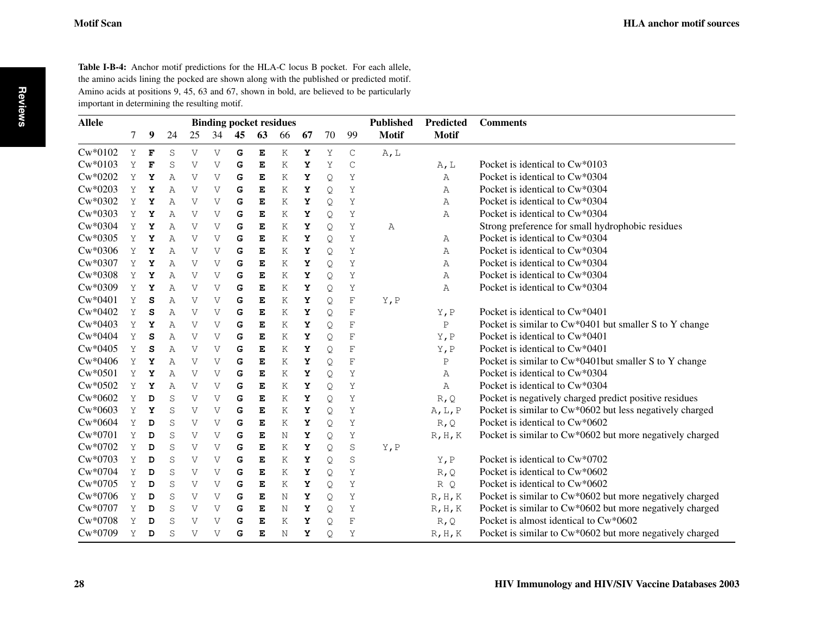<span id="page-3-0"></span>Table I-B-4: Anchor motif predictions for the HLA-C locus B pocket. For each allele, the amino acids lining the pocked are shown along with the published or predicted motif. Amino acids at positions 9, 45, 63 and 67, shown in bold, are believed to be particularly important in determining the resulting motif.

| <b>Allele</b> |   |   |                | <b>Binding pocket residues</b> |              | <b>Published</b> |             | <b>Predicted</b> | <b>Comments</b> |    |               |              |                 |                                                          |
|---------------|---|---|----------------|--------------------------------|--------------|------------------|-------------|------------------|-----------------|----|---------------|--------------|-----------------|----------------------------------------------------------|
|               | 7 | 9 | 24             | 25                             | 34           | 45               | 63          | 66               | 67              | 70 | 99            | <b>Motif</b> | <b>Motif</b>    |                                                          |
| $Cw*0102$     | Y | F | S              | V                              | V            | G                | Е           | Κ                | Y               | Υ  | $\mathsf{C}$  | A, L         |                 |                                                          |
| $Cw*0103$     | Y | F | S              | $\mathbf{V}$                   | $\mathbf{V}$ | G                | E           | Κ                | Y               | Y  | $\mathcal{C}$ |              | A, L            | Pocket is identical to Cw*0103                           |
| $Cw*0202$     | Υ | Y | A              | $\mathbf{V}$                   | $\rm V$      | G                | E           | Κ                | Y               | Q  | Y             |              | A               | Pocket is identical to Cw*0304                           |
| $Cw*0203$     | Υ | Υ | $\overline{A}$ | $\mathbf{V}$                   | V            | G                | E           | Κ                | Y               | Q  | Y             |              | Α               | Pocket is identical to Cw*0304                           |
| $Cw*0302$     | Y | Y | $\overline{A}$ | $\mathbf{V}$                   | V            | G                | E           | Κ                | Y               | Q  | Υ             |              | Α               | Pocket is identical to Cw*0304                           |
| $Cw*0303$     | Y | Y | A              | $\mathbf{V}$                   | V            | G                | E           | Κ                | Y               | Q  | Y             |              | Α               | Pocket is identical to Cw*0304                           |
| $Cw*0304$     | Y | Υ | Α              | $\mathbf{V}$                   | V            | G                | E           | Κ                | Y               | Q  | Υ             | Α            |                 | Strong preference for small hydrophobic residues         |
| $Cw*0305$     | Y | Y | A              | $\mathbf{V}$                   | V            | G                | E           | Κ                | Y               | Q  | Υ             |              | Α               | Pocket is identical to Cw*0304                           |
| $Cw*0306$     | Y | Y | A              | $\mathbf{V}$                   | V            | G                | E           | Κ                | Y               | Q  | Y             |              | A               | Pocket is identical to Cw*0304                           |
| $Cw*0307$     | Υ | Υ | Α              | $\rm V$                        | V            | G                | E           | Κ                | Υ               | Q  | Y             |              | Α               | Pocket is identical to Cw*0304                           |
| $Cw*0308$     | Y | Y | $\mathbb{A}$   | $\mathbf{V}$                   | V            | G                | E           | Κ                | Y               | Q  | Y             |              | A               | Pocket is identical to Cw*0304                           |
| $Cw*0309$     | Y | Y | $\mathbb{A}$   | V                              | V            | G                | E           | K                | Y               | Q  | Y             |              | Α               | Pocket is identical to Cw*0304                           |
| $Cw*0401$     | Υ | S | Α              | $\mathbf{V}$                   | V            | G                | E           | Κ                | Y               | Q  | $\mathbf F$   | Y, P         |                 |                                                          |
| $Cw*0402$     | Y | S | Α              | V                              | V            | G                | E           | K                | Υ               | Q  | $\rm F$       |              | Y, P            | Pocket is identical to Cw*0401                           |
| $Cw*0403$     | Y | Y | Α              | $\rm V$                        | V            | G                | E           | Κ                | Υ               | Q  | $\mathbf F$   |              | $\, {\bf P}$    | Pocket is similar to Cw*0401 but smaller S to Y change   |
| $Cw*0404$     | Y | S | $\mathbb{A}$   | $\rm V$                        | V            | G                | E           | Κ                | Y               | Q  | $\rm F$       |              | Y, P            | Pocket is identical to Cw*0401                           |
| $Cw*0405$     | Y | S | A              | $\mathbf{V}$                   | V            | G                | E           | Κ                | Y               | Q  | $\rm F$       |              | Y, P            | Pocket is identical to Cw*0401                           |
| $Cw*0406$     | Y | Υ | Α              | $\rm V$                        | V            | G                | E           | Κ                | Y               | Q  | $\mathbf F$   |              | $\mathbf P$     | Pocket is similar to Cw*0401but smaller S to Y change    |
| $Cw*0501$     | Y | Y | $\mathbb{A}$   | $\mathbf{V}$                   | V            | G                | E           | Κ                | Y               | Q  | Y             |              | A               | Pocket is identical to Cw*0304                           |
| $Cw*0502$     | Y | Y | A              | V                              | V            | G                | E           | Κ                | Υ               | Q  | Υ             |              | A               | Pocket is identical to Cw*0304                           |
| $Cw*0602$     | Y | D | S              | $\rm V$                        | V            | G                | E           | Κ                | Y               | Q  | Y             |              | R, Q            | Pocket is negatively charged predict positive residues   |
| $Cw*0603$     | Y | Y | $\mathbf S$    | $\rm V$                        | V            | G                | E           | Κ                | Y               | Q  | Υ             |              | A, L, P         | Pocket is similar to Cw*0602 but less negatively charged |
| $Cw*0604$     | Y | D | S              | $\rm V$                        | V            | G                | E           | Κ                | Y               | Q  | Y             |              | R, Q            | Pocket is identical to Cw*0602                           |
| $Cw*0701$     | Υ | D | $\mathbf S$    | $\rm V$                        | V            | G                | E           | N                | Y               | Q  | Y             |              | $R$ , $H$ , $K$ | Pocket is similar to Cw*0602 but more negatively charged |
| Cw*0702       | Y | D | S              | $\rm V$                        | V            | G                | E           | Κ                | Y               | Q  | $\mathbf S$   | Y, P         |                 |                                                          |
| $Cw*0703$     | Y | D | S              | V                              | V            | G                | E           | Κ                | Y               | Q  | $\mathbf S$   |              | Y, P            | Pocket is identical to Cw*0702                           |
| $Cw*0704$     | Y | D | S              | V                              | V            | G                | $\mathbf E$ | Κ                | Y               | Q  | Y             |              | R, Q            | Pocket is identical to Cw*0602                           |
| $Cw*0705$     | Y | D | S              | $\mathbf{V}$                   | V            | G                | E           | Κ                | Υ               | Q  | Y             |              | R Q             | Pocket is identical to Cw*0602                           |
| $Cw*0706$     | Υ | D | S              | V                              | V            | G                | E           | Ν                | Y               | Q  | Υ             |              | $R$ , $H$ , $K$ | Pocket is similar to Cw*0602 but more negatively charged |
| $Cw*0707$     | Y | D | $\rm S$        | $\rm V$                        | V            | G                | E           | Ν                | Υ               | Q  | Υ             |              | $R$ , $H$ , $K$ | Pocket is similar to Cw*0602 but more negatively charged |
| $Cw*0708$     | Y | D | S              | V                              | V            | G                | E           | Κ                | Υ               | Q  | $\rm F$       |              | R, Q            | Pocket is almost identical to $Cw*0602$                  |
| $Cw*0709$     | Υ | D | S              | $\rm V$                        | V            | G                | E           | N                | Y               | Q  | Υ             |              | R, H, K         | Pocket is similar to Cw*0602 but more negatively charged |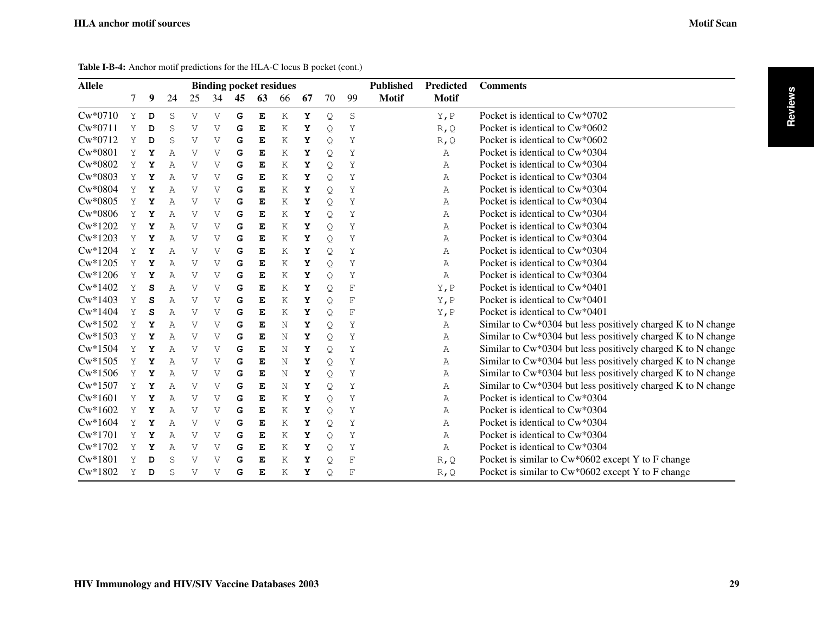**Reviews**

<span id="page-4-0"></span>

| <b>Allele</b> | <b>Binding pocket residues</b> |   |              |              | <b>Published</b> |    |             | Predicted | <b>Comments</b> |    |             |              |              |                                                              |
|---------------|--------------------------------|---|--------------|--------------|------------------|----|-------------|-----------|-----------------|----|-------------|--------------|--------------|--------------------------------------------------------------|
|               | 7                              | 9 | 24           | 25           | 34               | 45 | 63          | 66        | 67              | 70 | 99          | <b>Motif</b> | <b>Motif</b> |                                                              |
| $Cw*0710$     | Y                              | D | S            | $\mathbf{V}$ | $\rm V$          | G  | $\mathbf E$ | K         | Υ               | Q  | $\rm S$     |              | Y, P         | Pocket is identical to $\text{Cw*0702}$                      |
| $Cw*0711$     | Υ                              | D | S            | $\rm V$      | V                | G  | Е           | Κ         | Y               | Q  | Υ           |              | R, Q         | Pocket is identical to Cw*0602                               |
| $Cw*0712$     | Υ                              | D | S            | $\rm V$      | V                | G  | Е           | Κ         | Υ               | Q  | Υ           |              | R, Q         | Pocket is identical to Cw*0602                               |
| $Cw*0801$     | Υ                              | Υ | A            | $\rm V$      | V                | G  | Е           | K         | Υ               | Q. | Υ           |              | Α            | Pocket is identical to Cw*0304                               |
| Cw*0802       | Υ                              | Υ | A            | V            | V                | G  | Е           | K         | Υ               | Q  | Υ           |              | Α            | Pocket is identical to Cw*0304                               |
| $Cw*0803$     | Y                              | Y | A            | $\mathbf{V}$ | V                | G  | Е           | K         | Υ               | Q  | Υ           |              | Α            | Pocket is identical to Cw*0304                               |
| $Cw*0804$     | Υ                              | Υ | A            | $\mathbf{V}$ | V                | G  | Е           | K         | Y               | Q  | Υ           |              | Α            | Pocket is identical to Cw*0304                               |
| $Cw*0805$     | Υ                              | Υ | A            | $\rm V$      | V                | G  | Е           | Κ         | Υ               | Q  | Υ           |              | Α            | Pocket is identical to Cw*0304                               |
| $Cw*0806$     | Υ                              | Υ | Α            | $\rm V$      | V                | G  | Е           | Κ         | Υ               | Q  | Υ           |              | Α            | Pocket is identical to Cw*0304                               |
| $Cw*1202$     | Υ                              | Υ | A            | $\rm V$      | V                | G  | Е           | K         | Υ               | Q  | Υ           |              | Α            | Pocket is identical to Cw*0304                               |
| $Cw*1203$     | Υ                              | Υ | A            | $\mathbf{V}$ | $\rm V$          | G  | Е           | K         | Υ               | Q  | Υ           |              | A            | Pocket is identical to Cw*0304                               |
| $Cw*1204$     | Υ                              | Y | $\mathbb{A}$ | $\mathbf{V}$ | $\rm V$          | G  | Е           | K         | Υ               | Q  | Υ           |              | Α            | Pocket is identical to Cw*0304                               |
| $Cw*1205$     | Υ                              | Y | A            | $\mathbf{V}$ | $\rm V$          | G  | Е           | K         | Υ               | Q  | Υ           |              | A            | Pocket is identical to Cw*0304                               |
| $Cw*1206$     | Υ                              | Y | Α            | $\mathbf{V}$ | V                | G  | E           | Κ         | Υ               | Q  | Υ           |              | Α            | Pocket is identical to Cw*0304                               |
| $Cw*1402$     | Υ                              | s | Α            | $\rm V$      | V                | G  | Е           | Κ         | Υ               | Q  | F           |              | Y, P         | Pocket is identical to Cw*0401                               |
| $Cw*1403$     | Υ                              | S | Α            | $\rm V$      | V                | G  | Е           | K         | Υ               | Q  | F           |              | Y, P         | Pocket is identical to Cw*0401                               |
| $Cw*1404$     | Υ                              | s | A            | $\rm V$      | V                | G  | Е           | K         | Υ               | Q  | F           |              | Y, P         | Pocket is identical to Cw*0401                               |
| $Cw*1502$     | Υ                              | Υ | A            | V            | V                | G  | E           | N         | Υ               | Q  | Υ           |              | Α            | Similar to Cw*0304 but less positively charged K to N change |
| $Cw*1503$     | Υ                              | Y | A            | V            | V                | G  | Е           | N         | Υ               | Q  | Υ           |              | Α            | Similar to Cw*0304 but less positively charged K to N change |
| $Cw*1504$     | Υ                              | Y | Α            | $\rm V$      | V                | G  | Е           | N         | Υ               | Q. | Υ           |              | Α            | Similar to Cw*0304 but less positively charged K to N change |
| $Cw*1505$     | Υ                              | Y | A            | $\rm V$      | V                | G  | Е           | N         | Υ               | Q. | Υ           |              | A            | Similar to Cw*0304 but less positively charged K to N change |
| $Cw*1506$     | Υ                              | Y | Α            | $\rm V$      | V                | G  | Е           | N         | Υ               | Q  | Υ           |              | Α            | Similar to Cw*0304 but less positively charged K to N change |
| $Cw*1507$     | Υ                              | Y | A            | $\mathbf{V}$ | V                | G  | Е           | N         | Υ               | Q  | Υ           |              | Α            | Similar to Cw*0304 but less positively charged K to N change |
| $Cw*1601$     | Υ                              | Υ | Α            | $\rm V$      | V                | G  | Е           | K         | Υ               | Q  | Υ           |              | Α            | Pocket is identical to Cw*0304                               |
| $Cw*1602$     | Υ                              | Υ | Α            | $\rm V$      | V                | G  | Е           | Κ         | Υ               | Q  | Υ           |              | Α            | Pocket is identical to Cw*0304                               |
| $Cw*1604$     | Υ                              | Υ | Α            | V            | V                | G  | Е           | Κ         | Υ               | Q  | Υ           |              | Α            | Pocket is identical to Cw*0304                               |
| $Cw*1701$     | Υ                              | Y | A            | $\rm V$      | V                | G  | Е           | K         | Υ               | Q  | Υ           |              | Α            | Pocket is identical to Cw*0304                               |
| Cw*1702       | Υ                              | Υ | A            | $\rm V$      | V                | G  | Е           | K         | Υ               | Q  | Υ           |              | Α            | Pocket is identical to Cw*0304                               |
| $Cw*1801$     | Y                              | D | S            | $\mathbf{V}$ | V                | G  | Е           | K         | Y               | Q  | $\mathbf F$ |              | R, Q         | Pocket is similar to Cw*0602 except Y to F change            |
| $Cw*1802$     | Y                              | D | S            | $\mathbf{V}$ | V                | G  | Е           | Κ         | Υ               | Q  | F           |              | $R$ , $Q$    | Pocket is similar to Cw*0602 except Y to F change            |

Table I-B-4: Anchor motif predictions for the HLA-C locus B pocket (cont.)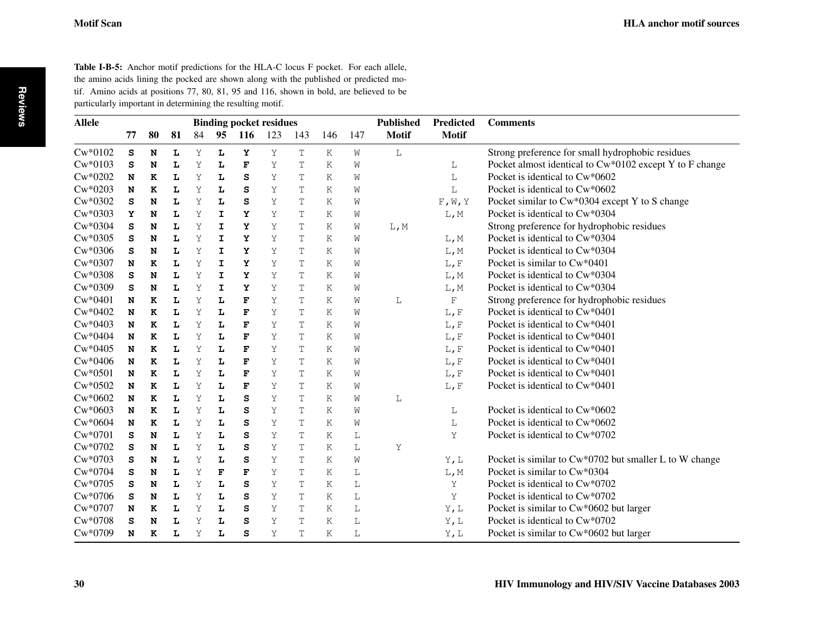Table I-B-5: Anchor motif predictions for the HLA-C locus F pocket. For each allele, the amino acids lining the pocked are shown along with the published or predicted motif. Amino acids at positions 77, 80, 81, 95 and 116, shown in bold, are believed to be particularly important in determining the resulting motif.

| <b>Allele</b> |    |    | <b>Binding pocket residues</b> |    |             |             |     | <b>Published</b> |     |     | Predicted    | <b>Comments</b> |                                                         |
|---------------|----|----|--------------------------------|----|-------------|-------------|-----|------------------|-----|-----|--------------|-----------------|---------------------------------------------------------|
|               | 77 | 80 | 81                             | 84 | 95          | 116         | 123 | 143              | 146 | 147 | <b>Motif</b> | <b>Motif</b>    |                                                         |
| $Cw*0102$     | s  | N  | L                              | Υ  | L           | Υ           | Υ   | T                | Κ   | W   | L            |                 | Strong preference for small hydrophobic residues        |
| $Cw*0103$     | s  | N  | Ŀ                              | Y  | L           | F           | Υ   | T                | K   | W   |              | L               | Pocket almost identical to Cw*0102 except Y to F change |
| $Cw*0202$     | N  | K  | L                              | Y  | L           | S           | Y   | T                | Κ   | W   |              | L               | Pocket is identical to Cw*0602                          |
| $Cw*0203$     | N  | K  | L                              | Y  | L           | S           | Υ   | $\mathbb T$      | Κ   | W   |              | L               | Pocket is identical to Cw*0602                          |
| $Cw*0302$     | s  | N  | L                              | Y  | L           | S           | Y   | T                | Κ   | W   |              | $F$ , $W$ , $Y$ | Pocket similar to Cw*0304 except Y to S change          |
| $Cw*0303$     | Y  | N  | Ŀ                              | Υ  | I           | Y           | Υ   | T                | Κ   | W   |              | L, M            | Pocket is identical to Cw*0304                          |
| $Cw*0304$     | S  | N  | L                              | Y  | $\mathbf I$ | Y           | Υ   | T                | Κ   | W   | L, M         |                 | Strong preference for hydrophobic residues              |
| $Cw*0305$     | s  | N  | L                              | Y  | I           | Y           | Υ   | T                | K   | W   |              | L, M            | Pocket is identical to Cw*0304                          |
| $Cw*0306$     | s  | N  | Ŀ                              | Υ  | I           | Y           | Υ   | T                | Κ   | W   |              | L, M            | Pocket is identical to Cw*0304                          |
| $Cw*0307$     | N  | K  | L                              | Υ  | I           | Y           | Υ   | T                | Κ   | W   |              | L, F            | Pocket is similar to $Cw*0401$                          |
| $Cw*0308$     | s  | N  | L                              | Υ  | I           | Y           | Υ   | T                | Κ   | W   |              | L, M            | Pocket is identical to Cw*0304                          |
| $Cw*0309$     | S  | N  | L                              | Υ  | $\mathbf I$ | Y           | Υ   | $\mathbb T$      | Κ   | W   |              | L, M            | Pocket is identical to Cw*0304                          |
| $Cw*0401$     | N  | K  | L                              | Y  | L           | F           | Υ   | T                | K   | W   | L            | F               | Strong preference for hydrophobic residues              |
| $Cw*0402$     | N  | K  | Ŀ                              | Y  | L           | F           | Υ   | $\mathbb{T}$     | Κ   | W   |              | L, F            | Pocket is identical to Cw*0401                          |
| $Cw*0403$     | N  | K  | Ŀ                              | Y  | L           | F           | Y   | T                | Κ   | W   |              | $L$ , F         | Pocket is identical to Cw*0401                          |
| $Cw*0404$     | N  | K  | L                              | Y  | L           | F           | Y   | T                | Κ   | W   |              | L, F            | Pocket is identical to Cw*0401                          |
| $Cw*0405$     | N  | K  | L                              | Y  | L           | $\mathbf F$ | Y   | T                | K   | W   |              | L, F            | Pocket is identical to Cw*0401                          |
| $Cw*0406$     | N  | K  | L                              | Y  | L           | F           | Y   | T                | Κ   | W   |              | $L$ , F         | Pocket is identical to Cw*0401                          |
| $Cw*0501$     | N  | K  | L                              | Y  | L           | F           | Υ   | T                | Κ   | W   |              | L, F            | Pocket is identical to Cw*0401                          |
| $Cw*0502$     | N  | K  | L                              | Y  | L           | F           | Υ   | T                | Κ   | W   |              | L, F            | Pocket is identical to Cw*0401                          |
| $Cw*0602$     | N  | K  | Ŀ                              | Y  | L           | S           | Υ   | T                | Κ   | W   | L            |                 |                                                         |
| $Cw*0603$     | N  | K  | Ŀ                              | Υ  | L           | S           | Υ   | T                | Κ   | W   |              | L               | Pocket is identical to Cw*0602                          |
| $Cw*0604$     | N  | K  | Ŀ                              | Υ  | L           | S           | Υ   | T                | Κ   | W   |              | L               | Pocket is identical to Cw*0602                          |
| $Cw*0701$     | S  | N  | Ŀ                              | Y  | L           | S           | Y   | T                | Κ   | L   |              | Υ               | Pocket is identical to Cw*0702                          |
| $Cw*0702$     | s  | N  | L                              | Y  | L           | S           | Υ   | T                | Κ   | L   | Υ            |                 |                                                         |
| $Cw*0703$     | s  | N  | Ŀ                              | Y  | L           | s           | Υ   | T                | K   | W   |              | Y, L            | Pocket is similar to Cw*0702 but smaller L to W change  |
| $Cw*0704$     | s  | N  | Ŀ                              | Y  | F           | F           | Υ   | Τ                | Κ   | L   |              | L, M            | Pocket is similar to Cw*0304                            |
| $Cw*0705$     | s  | N  | Ŀ                              | Υ  | L           | S           | Υ   | T                | Κ   | L   |              | Υ               | Pocket is identical to $Cw*0702$                        |
| $Cw*0706$     | s  | N  | L                              | Y  | L           | S           | Υ   | T                | K   | L   |              | Υ               | Pocket is identical to Cw*0702                          |
| $Cw*0707$     | N  | K  | L                              | Υ  | L           | S           | Υ   | Τ                | Κ   | L   |              | Y, L            | Pocket is similar to Cw*0602 but larger                 |
| $Cw*0708$     | S  | N  | L                              | Υ  | L           | S           | Υ   | Τ                | Κ   | L   |              | Y,L             | Pocket is identical to $Cw*0702$                        |
| $Cw*0709$     | N  | K  | Ŀ                              | Υ  | L           | S           | Υ   | T                | Κ   | L   |              | Y, L            | Pocket is similar to Cw*0602 but larger                 |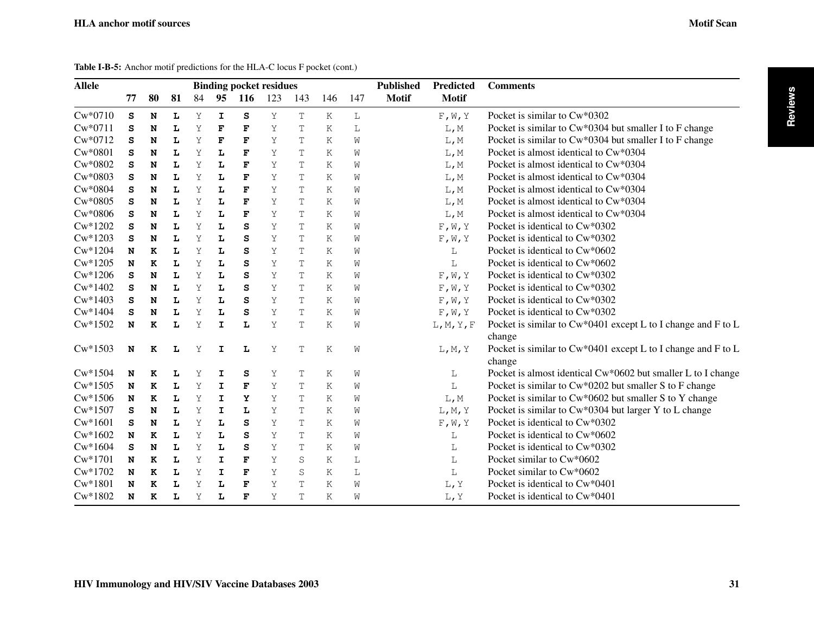**Reviews**

| <b>Allele</b> |    |    |    |    |             |             | <b>Binding pocket residues</b> |             |     |     | <b>Published</b> | <b>Predicted</b> | <b>Comments</b>                                              |
|---------------|----|----|----|----|-------------|-------------|--------------------------------|-------------|-----|-----|------------------|------------------|--------------------------------------------------------------|
|               | 77 | 80 | 81 | 84 | 95          | 116         | 123                            | 143         | 146 | 147 | <b>Motif</b>     | <b>Motif</b>     |                                                              |
| $Cw*0710$     | S  | N  | L  | Υ  | $\mathbf I$ | S           | Y                              | T           | K   | L   |                  | F, W, Y          | Pocket is similar to Cw*0302                                 |
| $Cw*0711$     | S  | N  | L  | Y  | F           | F           | Υ                              | T           | Κ   | L   |                  | L, M             | Pocket is similar to Cw*0304 but smaller I to F change       |
| Cw*0712       | s  | N  | L  | Υ  | F           | F           | Υ                              | T           | Κ   | W   |                  | L, M             | Pocket is similar to Cw*0304 but smaller I to F change       |
| $Cw*0801$     | s  | N  | L  | Υ  | L           | F           | Υ                              | T           | Κ   | W   |                  | L, M             | Pocket is almost identical to Cw*0304                        |
| $Cw*0802$     | S  | N  | L  | Y  | L           | F           | Y                              | T           | K   | W   |                  | L, M             | Pocket is almost identical to Cw*0304                        |
| $Cw*0803$     | S  | N  | L  | Y  | L           | F           | Y                              | T           | K   | W   |                  | L, M             | Pocket is almost identical to $\text{Cw*0304}$               |
| $Cw*0804$     | S  | N  | L  | Υ  | L           | $\mathbf F$ | Υ                              | T           | Κ   | W   |                  | L, M             | Pocket is almost identical to Cw*0304                        |
| $Cw*0805$     | s  | N  | L  | Υ  | L           | F           | Υ                              | T           | Κ   | W   |                  | L, M             | Pocket is almost identical to Cw*0304                        |
| $Cw*0806$     | S  | N  | L  | Υ  | L           | F           | Υ                              | T           | Κ   | W   |                  | L, M             | Pocket is almost identical to Cw*0304                        |
| $Cw*1202$     | s  | N  | L  | Y  | L           | S           | Υ                              | T           | Κ   | W   |                  | F, W, Y          | Pocket is identical to Cw*0302                               |
| $Cw*1203$     | s  | N  | L  | Y  | L           | S           | Υ                              | T           | Κ   | W   |                  | F, W, Y          | Pocket is identical to Cw*0302                               |
| $Cw*1204$     | N  | K  | L  | Υ  | L           | S           | Υ                              | T           | Κ   | W   |                  | L                | Pocket is identical to Cw*0602                               |
| $Cw*1205$     | N  | K  | L  | Υ  | L           | S           | Υ                              | T           | Κ   | W   |                  | L                | Pocket is identical to Cw*0602                               |
| $Cw*1206$     | s  | N  | L  | Y  | L           | S           | Υ                              | T           | K   | W   |                  | F, W, Y          | Pocket is identical to Cw*0302                               |
| $Cw*1402$     | s  | N  | L  | Υ  | L           | S           | Υ                              | T           | Κ   | W   |                  | F, W, Y          | Pocket is identical to Cw*0302                               |
| $Cw*1403$     | S  | N  | L  | Υ  | L           | S           | Υ                              | T           | K   | W   |                  | F, W, Y          | Pocket is identical to Cw*0302                               |
| $Cw*1404$     | s  | N  | L  | Υ  | L           | S           | Υ                              | T           | Κ   | W   |                  | F, W, Y          | Pocket is identical to Cw*0302                               |
| $Cw*1502$     | N  | K  | L  | Υ  | I           | L           | Υ                              | T           | Κ   | W   |                  | L, M, Y, F       | Pocket is similar to Cw*0401 except L to I change and F to L |
|               |    |    |    |    |             |             |                                |             |     |     |                  |                  | change                                                       |
| $Cw*1503$     | N  | K  | L  | Υ  | $\mathbf I$ | L           | Υ                              | T           | Κ   | W   |                  | L, M, Y          | Pocket is similar to Cw*0401 except L to I change and F to L |
|               |    |    |    |    |             |             |                                |             |     |     |                  |                  | change                                                       |
| $Cw*1504$     | N  | K  | L  | Υ  | I           | s           | Υ                              | T           | Κ   | W   |                  | L                | Pocket is almost identical Cw*0602 but smaller L to I change |
| $Cw*1505$     | N  | ĸ  | L  | Υ  | I           | F           | Υ                              | T           | K   | W   |                  | L                | Pocket is similar to Cw*0202 but smaller S to F change       |
| $Cw*1506$     | N  | K  | L  | Υ  | I           | Y           | Υ                              | T           | Κ   | W   |                  | L, M             | Pocket is similar to Cw*0602 but smaller S to Y change       |
| $Cw*1507$     | S  | N  | L  | Y  | I           | L           | Υ                              | T           | Κ   | W   |                  | L, M, Y          | Pocket is similar to Cw*0304 but larger Y to L change        |
| $Cw*1601$     | s  | N  | L  | Y  | L           | S           | Υ                              | T           | Κ   | W   |                  | F, W, Y          | Pocket is identical to Cw*0302                               |
| $Cw*1602$     | N  | K  | L  | Y  | L           | S           | Υ                              | T           | Κ   | W   |                  | L                | Pocket is identical to Cw*0602                               |
| $Cw*1604$     | s  | N  | L  | Y  | L           | S           | Y                              | T           | K   | W   |                  | L                | Pocket is identical to Cw*0302                               |
| $Cw*1701$     | N  | K  | L  | Y  | I           | F           | Υ                              | $\mathbb S$ | K   | L   |                  | L                | Pocket similar to Cw*0602                                    |
| $Cw*1702$     | N  | K  | L  | Y  | $\mathbf I$ | $\mathbf F$ | Υ                              | S           | Κ   | L   |                  | L                | Pocket similar to Cw*0602                                    |
| $Cw*1801$     | N  | K  | L  | Y  | L           | F           | Υ                              | T           | Κ   | W   |                  | L, Y             | Pocket is identical to Cw*0401                               |
| $Cw*1802$     | N  | K  | L  | Υ  | L           | F           | Υ                              | T           | Κ   | Ŵ   |                  | L, Y             | Pocket is identical to Cw*0401                               |

Table I-B-5: Anchor motif predictions for the HLA-C locus F pocket (cont.)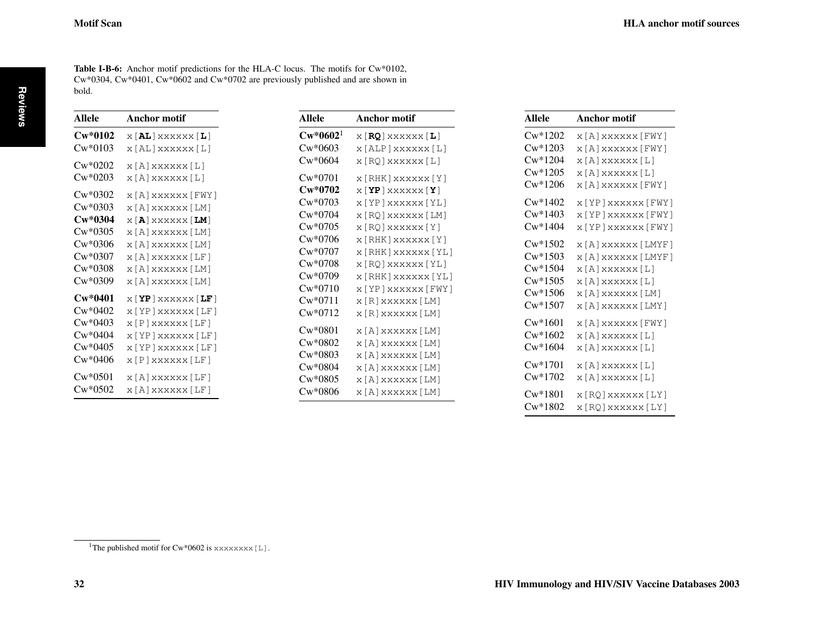<span id="page-7-0"></span>Table I-B-6: Anchor motif predictions for the HLA-C locus. The motifs for Cw\*0102, Cw\*0304, Cw\*0401, Cw\*0602 and Cw\*0702 are previously published and are shown in bold.

| Allele    | Anchor motif                                             |
|-----------|----------------------------------------------------------|
| $Cw*0102$ | $X[\mathbf{AL}]$ XXXXXX $[\mathbf{L}]$                   |
| $Cw*0103$ | x [AL] xxxxxx [L]                                        |
| $Cw*0202$ | x [A] xxxxxx [L]                                         |
| $Cw*0203$ | x [A] xxxxxx [L]                                         |
| $Cw*0302$ | x [A] xxxxxx [FWY]                                       |
| $Cw*0303$ | x [A] xxxxxx [LM]                                        |
| $Cw*0304$ | $X[\mathbf{A}]$ xxxxxx $[\mathbf{LM}]$                   |
| $Cw*0305$ | x [A] xxxxxx [LM]                                        |
| $Cw*0306$ | x [A] xxxxxx [LM]                                        |
| $Cw*0307$ | x [A] xxxxxx [LF]                                        |
| $Cw*0308$ | x [A] xxxxxx [LM]                                        |
| $Cw*0309$ | x [A] xxxxxx [LM]                                        |
| $Cw*0401$ | $X[$ $\mathbf{Y}\mathbf{P}$ $]$ xxxxxx $[$ <b>LF</b> $]$ |
| $Cw*0402$ | x [YP] xxxxxx [LF]                                       |
| $Cw*0403$ | x [P] xxxxxx [LF]                                        |
| $Cw*0404$ | x [YP] xxxxxx [LF]                                       |
| $Cw*0405$ | x [YP] xxxxxx [LF]                                       |
| Cw*0406   | x [P] xxxxxx [LF]                                        |
| $Cw*0501$ | x [A] xxxxxx [LF]                                        |
| $Cw*0502$ | x [A] xxxxxx [LF]                                        |

| Allele               | Anchor motif                                                                                                                                     |
|----------------------|--------------------------------------------------------------------------------------------------------------------------------------------------|
| $\mathrm{Cw*0602^1}$ | $\boldsymbol{\mathrm{x}}$ [RQ] $\boldsymbol{\mathrm{x}}$ x $\boldsymbol{\mathrm{x}}$ x $\boldsymbol{\mathrm{x}}$ x $\boldsymbol{\mathrm{x}}$ [L] |
| Cw*0603              | x [ALP ] xxxxxx [L]                                                                                                                              |
| Cw*0604              | x [ RQ ] xxxxxx [ L ]                                                                                                                            |
| Cw*0701              | x [RHK] xxxxxx [Y]                                                                                                                               |
| $Cw*0702$            | $X$ $Y$ P $X$ xxxxx $X$ $Y$ $Y$                                                                                                                  |
| Cw*0703              | x [YP]xxxxxx [YL]                                                                                                                                |
| Cw*0704              | x [RQ] xxxxxx [LM]                                                                                                                               |
| Cw*0705              | x [RQ] xxxxxx [Y]                                                                                                                                |
| Cw*0706              | x [RHK] xxxxxx [Y]                                                                                                                               |
| Cw*0707              | x [RHK] xxxxxx [YL]                                                                                                                              |
| Cw*0708              | x [RQ] xxxxxx [YL]                                                                                                                               |
| Cw*0709              | x [RHK] xxxxxx [YL]                                                                                                                              |
| Cw*0710              | x [YP] xxxxxx [FWY]                                                                                                                              |
| Cw*0711              | x [ R ] xxxxxx [ LM ]                                                                                                                            |
| Cw*0712              | x [R] xxxxxx [LM]                                                                                                                                |
| Cw*0801              | x [A] xxxxxx [LM]                                                                                                                                |
| Cw*0802              | x [A] xxxxxx [LM]                                                                                                                                |
| Cw*0803              | x [A] xxxxxx [LM]                                                                                                                                |
| Cw*0804              | x [A] xxxxxx [LM]                                                                                                                                |
| Cw*0805              | x [A] xxxxxx [LM]                                                                                                                                |
| Cw*0806              | x [A] xxxxxx [LM]                                                                                                                                |

| Allele    | Anchor motif          |
|-----------|-----------------------|
| $Cw*1202$ | x [A] xxxxxx [FWY]    |
| $Cw*1203$ | x [A] xxxxxx [FWY]    |
| $Cw*1204$ | x [A] xxxxxx [L]      |
| $Cw*1205$ | x [A] xxxxxx [L]      |
| $Cw*1206$ | x [A] xxxxxx [FWY]    |
| $Cw*1402$ | x [YP] xxxxxx [FWY]   |
| $Cw*1403$ | x [YP ] xxxxxx [FWY ] |
| $Cw*1404$ | x [YP] xxxxxx [FWY]   |
| $Cw*1502$ | x [A] xxxxxx [LMYF]   |
| $Cw*1503$ | x [A] xxxxxx [LMYF]   |
| $Cw*1504$ | x [A] xxxxxx [L]      |
| $Cw*1505$ | x [A] xxxxxx [L]      |
| $Cw*1506$ | x [A] xxxxxx [LM]     |
| $Cw*1507$ | x [A] xxxxxx [LMY]    |
| $Cw*1601$ | x [A] xxxxxx [FWY]    |
| $Cw*1602$ | x [A] xxxxxx [L]      |
| $Cw*1604$ | x [A] xxxxxx [L]      |
| $Cw*1701$ | x [A] xxxxxx [L]      |
| $Cw*1702$ | x [A] xxxxxx [L]      |
| $Cw*1801$ | x [RQ] xxxxxx [LY]    |
| $Cw*1802$ | x [RQ] xxxxxx [LY]    |

 $^1\mathrm{The}$  published motif for Cw\*0602 is <code>xxxxxxx</code>  $\hbox{[L]}$  .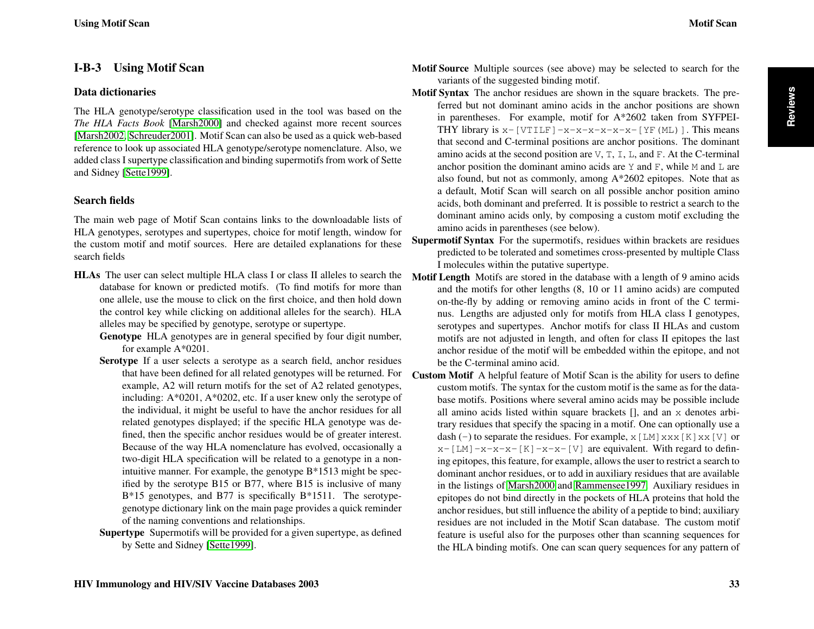## <span id="page-8-0"></span>I-B-3 Using Motif Scan

#### Data dictionaries

The HLA genotype/serotype classification used in the tool was based on the *The HLA Facts Book* [\[Marsh2000\]](#page-11-3) and checked against more recent sources [\[Marsh2002,](#page-11-6) [Schreuder2001\]](#page-11-7). Motif Scan can also be used as a quick web-based reference to look up associated HLA genotype/serotype nomenclature. Also, we added class I supertype classification and binding supermotifs from work of Sette and Sidney [\[Sette1999\]](#page-11-8).

#### Search fields

The main web page of Motif Scan contains links to the downloadable lists of HLA genotypes, serotypes and supertypes, choice for motif length, window for the custom motif and motif sources. Here are detailed explanations for these search fields

- HLAs The user can select multiple HLA class I or class II alleles to search the database for known or predicted motifs. (To find motifs for more than one allele, use the mouse to click on the first choice, and then hold down the control key while clicking on additional alleles for the search). HLA alleles may be specified by genotype, serotype or supertype.
	- Genotype HLA genotypes are in general specified by four digit number, for example A\*0201.
	- Serotype If a user selects a serotype as a search field, anchor residues that have been defined for all related genotypes will be returned. For example, A2 will return motifs for the set of A2 related genotypes, including: A\*0201, A\*0202, etc. If a user knew only the serotype of the individual, it might be useful to have the anchor residues for all related genotypes displayed; if the specific HLA genotype was defined, then the specific anchor residues would be of greater interest. Because of the way HLA nomenclature has evolved, occasionally a two-digit HLA specification will be related to a genotype in a nonintuitive manner. For example, the genotype B\*1513 might be specified by the serotype B15 or B77, where B15 is inclusive of many B<sup>\*</sup>15 genotypes, and B77 is specifically B<sup>\*</sup>1511. The serotypegenotype dictionary link on the main page provides a quick reminder of the naming conventions and relationships.
	- Supertype Supermotifs will be provided for a given supertype, as defined by Sette and Sidney [\[Sette1999\]](#page-11-8).
- **Reviews**
- Motif Source Multiple sources (see above) may be selected to search for the variants of the suggested binding motif.
- Motif Syntax The anchor residues are shown in the square brackets. The preferred but not dominant amino acids in the anchor positions are shown in parentheses. For example, motif for A\*2602 taken from SYFPEI-THY library is  $x-[VTLF]-x-x-x-x-x-[YF(ML)]$ . This means that second and C-terminal positions are anchor positions. The dominant amino acids at the second position are  $V$ ,  $T$ ,  $L$ ,  $L$ , and  $F$ . At the C-terminal anchor position the dominant amino acids are  $Y$  and  $F$ , while M and L are also found, but not as commonly, among A\*2602 epitopes. Note that as a default, Motif Scan will search on all possible anchor position amino acids, both dominant and preferred. It is possible to restrict a search to the dominant amino acids only, by composing a custom motif excluding the amino acids in parentheses (see below).
- Supermotif Syntax For the supermotifs, residues within brackets are residues predicted to be tolerated and sometimes cross-presented by multiple Class I molecules within the putative supertype.
- Motif Length Motifs are stored in the database with a length of 9 amino acids and the motifs for other lengths (8, 10 or 11 amino acids) are computed on-the-fly by adding or removing amino acids in front of the C terminus. Lengths are adjusted only for motifs from HLA class I genotypes, serotypes and supertypes. Anchor motifs for class II HLAs and custom motifs are not adjusted in length, and often for class II epitopes the last anchor residue of the motif will be embedded within the epitope, and not be the C-terminal amino acid.
- Custom Motif A helpful feature of Motif Scan is the ability for users to define custom motifs. The syntax for the custom motif is the same as for the database motifs. Positions where several amino acids may be possible include all amino acids listed within square brackets [], and an x denotes arbitrary residues that specify the spacing in a motif. One can optionally use a dash (-) to separate the residues. For example,  $x[LM]xxx[K]xx[V]$  or  $x-[LM]-x-x-[K]-x-x-[V]$  are equivalent. With regard to defining epitopes, this feature, for example, allows the user to restrict a search to dominant anchor residues, or to add in auxiliary residues that are available in the listings of [Marsh2000](#page-11-3) and [Rammensee1997.](#page-11-4) Auxiliary residues in epitopes do not bind directly in the pockets of HLA proteins that hold the anchor residues, but still influence the ability of a peptide to bind; auxiliary residues are not included in the Motif Scan database. The custom motif feature is useful also for the purposes other than scanning sequences for the HLA binding motifs. One can scan query sequences for any pattern of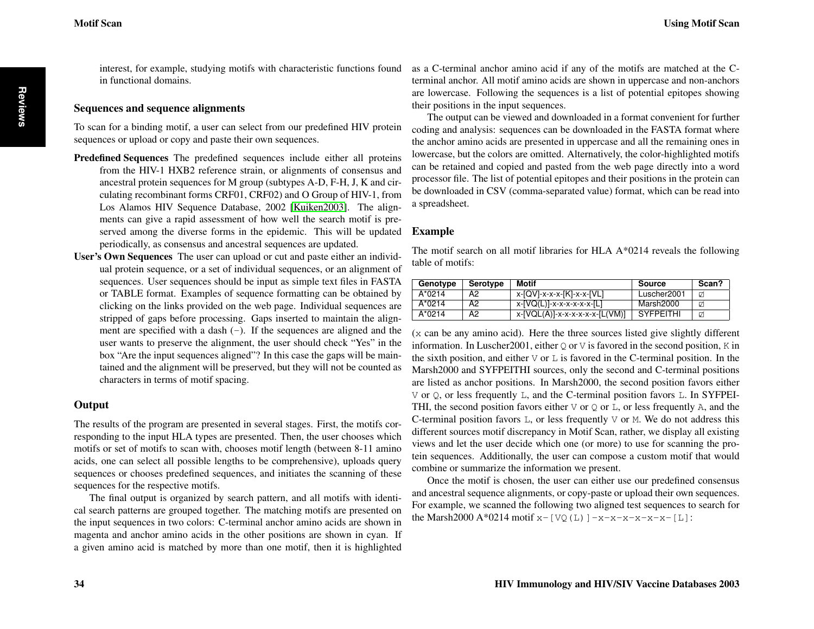<span id="page-9-0"></span>interest, for example, studying motifs with characteristic functions found in functional domains.

#### Sequences and sequence alignments

To scan for a binding motif, a user can select from our predefined HIV protein sequences or upload or copy and paste their own sequences.

- Predefined Sequences The predefined sequences include either all proteins from the HIV-1 HXB2 reference strain, or alignments of consensus and ancestral protein sequences for M group (subtypes A-D, F-H, J, K and circulating recombinant forms CRF01, CRF02) and O Group of HIV-1, from Los Alamos HIV Sequence Database, 2002 [\[Kuiken2003\]](#page-11-0). The alignments can give a rapid assessment of how well the search motif is preserved among the diverse forms in the epidemic. This will be updated periodically, as consensus and ancestral sequences are updated.
- User's Own Sequences The user can upload or cut and paste either an individual protein sequence, or a set of individual sequences, or an alignment of sequences. User sequences should be input as simple text files in FASTA or TABLE format. Examples of sequence formatting can be obtained by clicking on the links provided on the web page. Individual sequences are stripped of gaps before processing. Gaps inserted to maintain the alignment are specified with a dash  $(-)$ . If the sequences are aligned and the user wants to preserve the alignment, the user should check "Yes" in the box "Are the input sequences aligned"? In this case the gaps will be maintained and the alignment will be preserved, but they will not be counted as characters in terms of motif spacing.

#### **Output**

The results of the program are presented in several stages. First, the motifs corresponding to the input HLA types are presented. Then, the user chooses which motifs or set of motifs to scan with, chooses motif length (between 8-11 amino acids, one can select all possible lengths to be comprehensive), uploads query sequences or chooses predefined sequences, and initiates the scanning of these sequences for the respective motifs.

The final output is organized by search pattern, and all motifs with identical search patterns are grouped together. The matching motifs are presented on the input sequences in two colors: C-terminal anchor amino acids are shown in magenta and anchor amino acids in the other positions are shown in cyan. If a given amino acid is matched by more than one motif, then it is highlighted

as a C-terminal anchor amino acid if any of the motifs are matched at the Cterminal anchor. All motif amino acids are shown in uppercase and non-anchors are lowercase. Following the sequences is a list of potential epitopes showing their positions in the input sequences.

The output can be viewed and downloaded in a format convenient for further coding and analysis: sequences can be downloaded in the FASTA format where the anchor amino acids are presented in uppercase and all the remaining ones in lowercase, but the colors are omitted. Alternatively, the color-highlighted motifs can be retained and copied and pasted from the web page directly into a word processor file. The list of potential epitopes and their positions in the protein can be downloaded in CSV (comma-separated value) format, which can be read into a spreadsheet.

#### Example

The motif search on all motif libraries for HLA A\*0214 reveals the following table of motifs:

| Genotype | Serotype | <b>Motif</b>                   | Source           | Scan? |
|----------|----------|--------------------------------|------------------|-------|
| $A*0214$ | A2       | x-[QV]-x-x-x-[K]-x-x-[VL]      | Luscher2001      | ☑     |
| $A*0214$ | A2       | x-[VQ(L)]-x-x-x-x-x-x-[L]      | Marsh2000        | ø     |
| $A*0214$ | A2       | x-[VQL(A)]-x-x-x-x-x-x-[L(VM)] | <b>SYFPEITHI</b> | Ø     |

(x can be any amino acid). Here the three sources listed give slightly different information. In Luscher 2001, either  $Q$  or  $V$  is favored in the second position,  $K$  in the sixth position, and either  $\nabla$  or  $\mathbb{L}$  is favored in the C-terminal position. In the Marsh2000 and SYFPEITHI sources, only the second and C-terminal positions are listed as anchor positions. In Marsh2000, the second position favors either V or Q, or less frequently L, and the C-terminal position favors L. In SYFPEI-THI, the second position favors either  $\nabla$  or  $\mathcal Q$  or  $\mathcal L$ , or less frequently A, and the C-terminal position favors  $L$ , or less frequently  $V$  or  $M$ . We do not address this different sources motif discrepancy in Motif Scan, rather, we display all existing views and let the user decide which one (or more) to use for scanning the protein sequences. Additionally, the user can compose a custom motif that would combine or summarize the information we present.

Once the motif is chosen, the user can either use our predefined consensus and ancestral sequence alignments, or copy-paste or upload their own sequences. For example, we scanned the following two aligned test sequences to search for the Marsh2000 A\*0214 motif  $x-[VQ(L)]-x-x-x-x-x-[L]$ :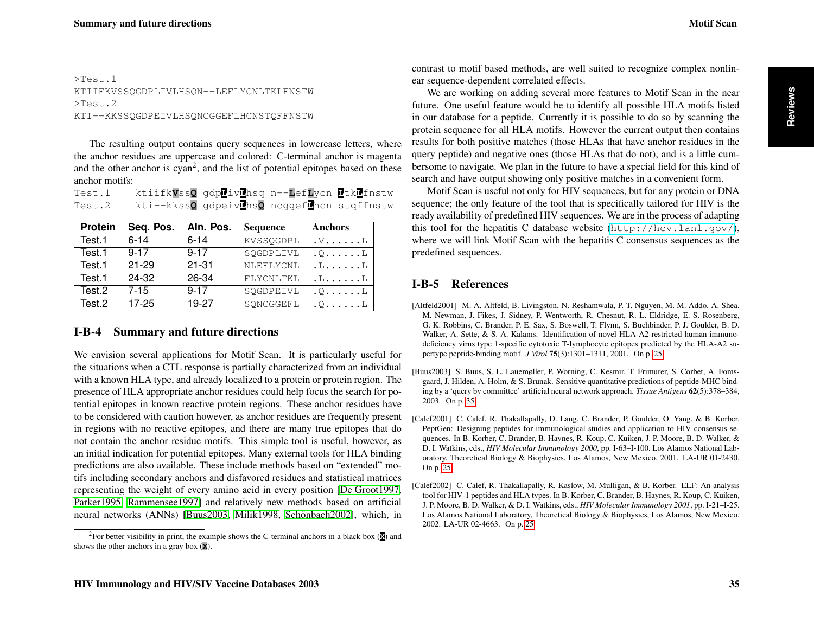#### <span id="page-10-4"></span>>Test.1 KTIIFKVSSQGDPLIVLHSQN--LEFLYCNLTKLFNSTW >Test.2 KTI--KKSSQGDPEIVLHSQNCGGEFLHCNSTQFFNSTW

The resulting output contains query sequences in lowercase letters, where the anchor residues are uppercase and colored: C-terminal anchor is magenta and the other anchor is  $cyan<sup>2</sup>$ , and the list of potential epitopes based on these anchor motifs:

| Test.1 |                                            | ktiifkVssQ gdplivLhsq n--LefLycn LtkLfnstw |  |
|--------|--------------------------------------------|--------------------------------------------|--|
| Test.2 | kti--kkssQ gdpeivDhsQ ncggefDhcn stqffnstw |                                            |  |

| <b>Protein</b> | Seq. Pos. | Aln. Pos. | <b>Sequence</b> | <b>Anchors</b>              |
|----------------|-----------|-----------|-----------------|-----------------------------|
| Test.1         | $6 - 14$  | $6 - 14$  | KVSSQGDPL       | $V \ldots L$                |
| Test.1         | $9 - 17$  | $9 - 17$  | SQGDPLIVL       | $. \circ . \ldots .$ $\Box$ |
| Test.1         | $21 - 29$ | $21 - 31$ | NLEFLYCNL       | L. L. L                     |
| Test.1         | 24-32     | 26-34     | FLYCNLTKL       | .L. L                       |
| Test.2         | $7 - 15$  | $9 - 17$  | SQGDPEIVL       | $. \circ . \ldots . \perp$  |
| Test.2         | $17 - 25$ | 19-27     | SQNCGGEFL       | . 0. L                      |

## I-B-4 Summary and future directions

We envision several applications for Motif Scan. It is particularly useful for the situations when a CTL response is partially characterized from an individual with a known HLA type, and already localized to a protein or protein region. The presence of HLA appropriate anchor residues could help focus the search for potential epitopes in known reactive protein regions. These anchor residues have to be considered with caution however, as anchor residues are frequently present in regions with no reactive epitopes, and there are many true epitopes that do not contain the anchor residue motifs. This simple tool is useful, however, as an initial indication for potential epitopes. Many external tools for HLA binding predictions are also available. These include methods based on "extended" motifs including secondary anchors and disfavored residues and statistical matrices representing the weight of every amino acid in every position [\[De Groot1997,](#page-11-9) [Parker1995,](#page-11-10) [Rammensee1997\]](#page-11-4) and relatively new methods based on artificial neural networks (ANNs) [\[Buus2003,](#page-10-3) [Milik1998,](#page-11-11) [Schönbach2002\]](#page-11-12), which, in

contrast to motif based methods, are well suited to recognize complex nonlinear sequence-dependent correlated effects.

We are working on adding several more features to Motif Scan in the near future. One useful feature would be to identify all possible HLA motifs listed in our database for a peptide. Currently it is possible to do so by scanning the protein sequence for all HLA motifs. However the current output then contains results for both positive matches (those HLAs that have anchor residues in the query peptide) and negative ones (those HLAs that do not), and is a little cumbersome to navigate. We plan in the future to have a special field for this kind of search and have output showing only positive matches in a convenient form.

Motif Scan is useful not only for HIV sequences, but for any protein or DNA sequence; the only feature of the tool that is specifically tailored for HIV is the ready availability of predefined HIV sequences. We are in the process of adapting this tool for the hepatitis C database website  $(\text{http://hcv.lanl.qov/}),$ where we will link Motif Scan with the hepatitis C consensus sequences as the predefined sequences.

# I-B-5 References

- <span id="page-10-2"></span>[Altfeld2001] M. A. Altfeld, B. Livingston, N. Reshamwala, P. T. Nguyen, M. M. Addo, A. Shea, M. Newman, J. Fikes, J. Sidney, P. Wentworth, R. Chesnut, R. L. Eldridge, E. S. Rosenberg, G. K. Robbins, C. Brander, P. E. Sax, S. Boswell, T. Flynn, S. Buchbinder, P. J. Goulder, B. D. Walker, A. Sette, & S. A. Kalams. Identification of novel HLA-A2-restricted human immunodeficiency virus type 1-specific cytotoxic T-lymphocyte epitopes predicted by the HLA-A2 supertype peptide-binding motif. *J Virol* 75(3):1301–1311, 2001. On p. [25](#page-0-1)
- <span id="page-10-3"></span>[Buus2003] S. Buus, S. L. Lauemøller, P. Worning, C. Kesmir, T. Frimurer, S. Corbet, A. Fomsgaard, J. Hilden, A. Holm, & S. Brunak. Sensitive quantitative predictions of peptide-MHC binding by a 'query by committee' artificial neural network approach. *Tissue Antigens* 62(5):378–384, 2003. On p. [35](#page-10-4)
- <span id="page-10-0"></span>[Calef2001] C. Calef, R. Thakallapally, D. Lang, C. Brander, P. Goulder, O. Yang, & B. Korber. PeptGen: Designing peptides for immunological studies and application to HIV consensus sequences. In B. Korber, C. Brander, B. Haynes, R. Koup, C. Kuiken, J. P. Moore, B. D. Walker, & D. I. Watkins, eds., *HIV Molecular Immunology 2000*, pp. I-63–I-100. Los Alamos National Laboratory, Theoretical Biology & Biophysics, Los Alamos, New Mexico, 2001. LA-UR 01-2430. On p. [25](#page-0-1)
- <span id="page-10-1"></span>[Calef2002] C. Calef, R. Thakallapally, R. Kaslow, M. Mulligan, & B. Korber. ELF: An analysis tool for HIV-1 peptides and HLA types. In B. Korber, C. Brander, B. Haynes, R. Koup, C. Kuiken, J. P. Moore, B. D. Walker, & D. I. Watkins, eds., *HIV Molecular Immunology 2001*, pp. I-21–I-25. Los Alamos National Laboratory, Theoretical Biology & Biophysics, Los Alamos, New Mexico, 2002. LA-UR 02-4663. On p. [25](#page-0-1)

<sup>&</sup>lt;sup>2</sup>For better visibility in print, the example shows the C-terminal anchors in a black box ( $\mathbf{\overline{X}}$ ) and shows the other anchors in a gray box (**X**).